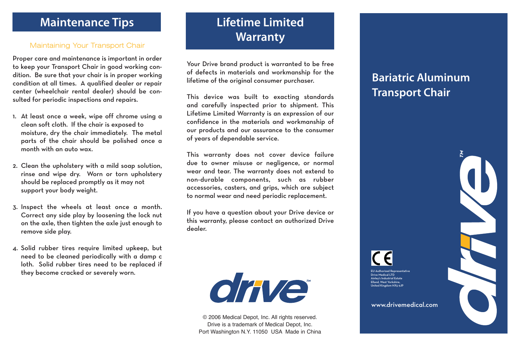#### **Maintenance Tips**

#### Maintaining Your Transport Chair

Proper care and maintenance is important in order to keep your Transport Chair in good working condition. Be sure that your chair is in proper working condition at all times. A qualified dealer or repair center (wheelchair rental dealer) should be consulted for periodic inspections and repairs.

- 1. At least once a week, wipe off chrome using a clean soft cloth. If the chair is exposed to moisture, dry the chair immediately. The metal parts of the chair should be polished once a month with an auto wax.
- 2. Clean the upholstery with a mild soap solution, rinse and wipe dry. Worn or torn upholstery should be replaced promptly as it may not support your body weight.
- 3. Inspect the wheels at least once a month. Correct any side play by loosening the lock nut on the axle, then tighten the axle just enough to remove side play.
- 4. Solid rubber tires require limited upkeep, but need to be cleaned periodically with a damp c loth. Solid rubber tires need to be replaced if they become cracked or severely worn.

# **Lifetime Limited Warranty**

Your Drive brand product is warranted to be free of defects in materials and workmanship for the lifetime of the original consumer purchaser.

This device was built to exacting standards and carefully inspected prior to shipment. This Lifetime Limited Warranty is an expression of our confidence in the materials and workmanship of our products and our assurance to the consumer of years of dependable service.

This warranty does not cover device failure due to owner misuse or negligence, or normal wear and tear. The warranty does not extend to non-durable components, such as rubber accessories, casters, and grips, which are subject to normal wear and need periodic replacement.

If you have a question about your Drive device or this warranty, please contact an authorized Drive dealer.



© 2006 Medical Depot, Inc. All rights reserved. Drive is a trademark of Medical Depot, Inc. Port Washington N.Y. 11050 USA Made in China

### **Bariatric Aluminum Transport Chair**

www.drivemedical.com

EU Authorized Representative Drive Medical LTD Ainley's Industrial Estate Elland, West Yorkshire, nited Kingdom HX5 9JP

 $\mathsf{C}\in$